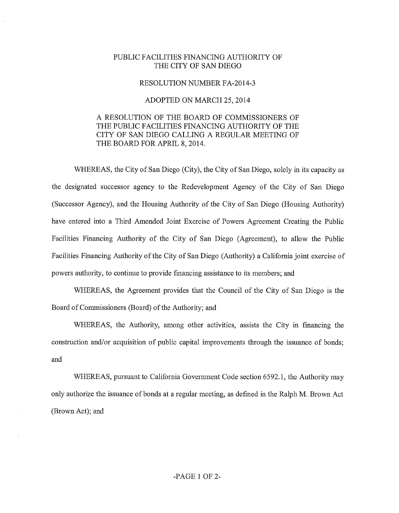## PUBLIC FACILITIES FINANCING AUTHORITY OF THE CITY OF SAN DIEGO

## RESOLUTION NUMBER FA-2014-3

## ADOPTED ON MARCH 25,2014

## A RESOLUTION OF THE BOARD OF COMMISSIONERS OF THE PUBLIC FACILITIES FINANCING AUTHORITY OF THE CITY OF SAN DIEGO CALLING A REGULAR MEETING OF THE BOARD FOR APRIL 8, 2014.

WHEREAS, the City of San Diego (City), the City of San Diego, solely in its capacity as the designated successor agency to the Redevelopment Agency of the City of San Diego (Successor Agency), and the Housing Authority of the City of San Diego (Housing Authority) have entered into a Third Amended Joint Exercise of Powers Agreement Creating the Public Facilities Financing Authority of the City of San Diego (Agreement), to allow the Public Facilities Financing Authority of the City of San Diego (Authority) a California joint exercise of powers authority, to continue to provide fmancing assistance to its members; and

WHEREAS, the Agreement provides that the Council of the City of San Diego is the Board of Commissioners (Board) of the Authority; and

WHEREAS, the Authority, among other activities, assists the City in financing the construction and/or acquisition of public capital improvements through the issuance of bonds; and

WHEREAS, pursuant to California Government Code section 6592.1, the Authority may only authorize the issuance of bonds at a regular meeting, as defmed in the Ralph M. Brown Act (Brown Act); and